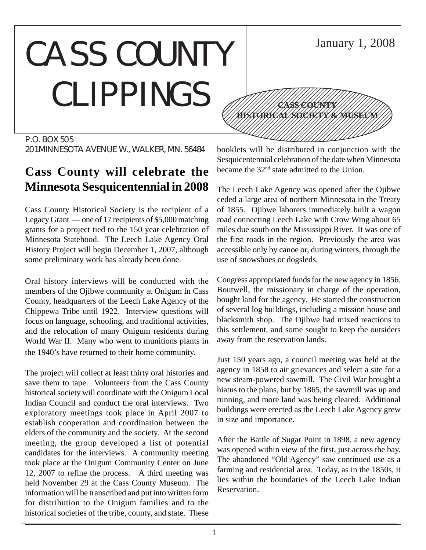### CASS COUNTY CLIPPINGS 12345678901234567890123456789012345678901234567890123456789012345678901234567890123456789012345678901234567890 12345678901234567890123456789012123456789012345 12345678901234567890123456789012123456789012345 12345678901234567890123456789012123456789012345 12345678901234567890123456789012123456789012345



### **Cass County will celebrate the Minnesota Sesquicentennial in 2008**

Cass County Historical Society is the recipient of a Legacy Grant — one of 17 recipients of \$5,000 matching grants for a project tied to the 150 year celebration of Minnesota Statehood. The Leech Lake Agency Oral History Project will begin December 1, 2007, although some preliminary work has already been done.

Oral history interviews will be conducted with the members of the Ojibwe community at Onigum in Cass County, headquarters of the Leech Lake Agency of the Chippewa Tribe until 1922. Interview questions will focus on language, schooling, and traditional activities, and the relocation of many Onigum residents during World War II. Many who went to munitions plants in the 1940's have returned to their home community.

The project will collect at least thirty oral histories and save them to tape. Volunteers from the Cass County historical society will coordinate with the Onigum Local Indian Council and conduct the oral interviews. Two exploratory meetings took place in April 2007 to establish cooperation and coordination between the elders of the community and the society. At the second meeting, the group developed a list of potential candidates for the interviews. A community meeting took place at the Onigum Community Center on June 12, 2007 to refine the process. A third meeting was held November 29 at the Cass County Museum. The information will be transcribed and put into written form for distribution to the Onigum families and to the historical societies of the tribe, county, and state. These



12345678901234567890123456789012123456789012345 12345678901234567890123456789012123456789012345 1234 The Territorial Constitution of the Constitution of the Constitution of the Constitution of the Constitution of 12345678901234567890123456789012345678901234567890123456789012345678901234567890123456789012345678901234567890

**CASS COUNTY HISTORICAL SOCIETY & MUSEUM**

January 1, 2008

The Leech Lake Agency was opened after the Ojibwe ceded a large area of northern Minnesota in the Treaty of 1855. Ojibwe laborers immediately built a wagon road connecting Leech Lake with Crow Wing about 65 miles due south on the Mississippi River. It was one of the first roads in the region. Previously the area was accessible only by canoe or, during winters, through the use of snowshoes or dogsleds.

Congress appropriated funds for the new agency in 1856. Boutwell, the missionary in charge of the operation, bought land for the agency. He started the construction of several log buildings, including a mission house and blacksmith shop. The Ojibwe had mixed reactions to this settlement, and some sought to keep the outsiders away from the reservation lands.

Just 150 years ago, a council meeting was held at the agency in 1858 to air grievances and select a site for a new steam-powered sawmill. The Civil War brought a hiatus to the plans, but by 1865, the sawmill was up and running, and more land was being cleared. Additional buildings were erected as the Leech Lake Agency grew in size and importance.

After the Battle of Sugar Point in 1898, a new agency was opened within view of the first, just across the bay. The abandoned "Old Agency" saw continued use as a farming and residential area. Today, as in the 1850s, it lies within the boundaries of the Leech Lake Indian Reservation.

1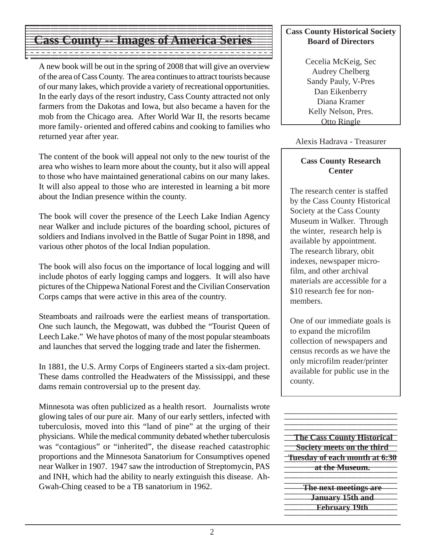#### 123456789012345678901234567890121234567890123456789012345678901212345678901234567890123456789 123456789012345678901234567890121234567890123456789012345678901212345678901234567890123456789  $1$  9  $\pm$  9  $\pm$  9  $\pm$  9  $\pm$  9  $\pm$  9  $\pm$  9  $\pm$  9  $\pm$  9  $\pm$  9  $\pm$  9  $\pm$  9  $\pm$  9  $\pm$  9  $\pm$  9  $\pm$  9  $\pm$  9  $\pm$  9  $\pm$  9  $\pm$  9  $\pm$  9  $\pm$  9  $\pm$  9  $\pm$  9  $\pm$  9  $\pm$  9  $\pm$  9  $\pm$  9  $\pm$  9  $\pm$  9  $\pm$  9  $\pm$  **Cass County -- Images of America Series** Cass County Historical Society  $\blacksquare$ 123456789012345678901234567890121234567890123456789012345678901212345678901234567890123456789  $1$  9  $\pm$  9  $\pm$  9  $\pm$  9  $\pm$  9  $\pm$  9  $\pm$  9  $\pm$  9  $\pm$  9  $\pm$  9  $\pm$  9  $\pm$  9  $\pm$  9  $\pm$  9  $\pm$  9  $\pm$  9  $\pm$  9  $\pm$  9  $\pm$  9  $\pm$  9  $\pm$  9  $\pm$  9  $\pm$  9  $\pm$  9  $\pm$  9  $\pm$  9  $\pm$  9  $\pm$  9  $\pm$  9  $\pm$  9  $\pm$  9  $\pm$  123456789012345678901234567890121234567890123456789012345678901212345678901234567890123456789

12345678901234567890123456789012345678901234567890123456789012345678901234567890123456789012345678901234567890

A new book will be out in the spring of 2008 that will give an overview of the area of Cass County. The area continues to attract tourists because of our many lakes, which provide a variety of recreational opportunities. In the early days of the resort industry, Cass County attracted not only farmers from the Dakotas and Iowa, but also became a haven for the mob from the Chicago area. After World War II, the resorts became more family- oriented and offered cabins and cooking to families who returned year after year.

The content of the book will appeal not only to the new tourist of the area who wishes to learn more about the county, but it also will appeal to those who have maintained generational cabins on our many lakes. It will also appeal to those who are interested in learning a bit more about the Indian presence within the county.

The book will cover the presence of the Leech Lake Indian Agency near Walker and include pictures of the boarding school, pictures of soldiers and Indians involved in the Battle of Sugar Point in 1898, and various other photos of the local Indian population.

The book will also focus on the importance of local logging and will include photos of early logging camps and loggers. It will also have pictures of the Chippewa National Forest and the Civilian Conservation Corps camps that were active in this area of the country.

Steamboats and railroads were the earliest means of transportation. One such launch, the Megowatt, was dubbed the "Tourist Queen of Leech Lake." We have photos of many of the most popular steamboats and launches that served the logging trade and later the fishermen.

In 1881, the U.S. Army Corps of Engineers started a six-dam project. These dams controlled the Headwaters of the Mississippi, and these dams remain controversial up to the present day.

Minnesota was often publicized as a health resort. Journalists wrote glowing tales of our pure air. Many of our early settlers, infected with tuberculosis, moved into this "land of pine" at the urging of their physicians. While the medical community debated whether tuberculosis was "contagious" or "inherited", the disease reached catastrophic proportions and the Minnesota Sanatorium for Consumptives opened near Walker in 1907. 1947 saw the introduction of Streptomycin, PAS and INH, which had the ability to nearly extinguish this disease. Ah-Gwah-Ching ceased to be a TB sanatorium in 1962.

# **Board of Directors**

Cecelia McKeig, Sec Audrey Chelberg Sandy Pauly, V-Pres Dan Eikenberry Diana Kramer Kelly Nelson, Pres. Otto Ringle

Alexis Hadrava - Treasurer

### **Cass County Research Center**

The research center is staffed by the Cass County Historical Society at the Cass County Museum in Walker. Through the winter, research help is available by appointment. The research library, obit indexes, newspaper microfilm, and other archival materials are accessible for a \$10 research fee for nonmembers.

One of our immediate goals is to expand the microfilm collection of newspapers and census records as we have the only microfilm reader/printer available for public use in the county.

**The Cass County Historical 12356 Society meets on the third Tuesday of each month at 6:30 12345 at the Museum.** The Museum. **1234567912 The next meetings are**  $1235678901234589012343$ **January 15th and** 123456789012345678901234567890123456789012345678901234567890123456789012345678901 **February 19th** 1234567890123456789012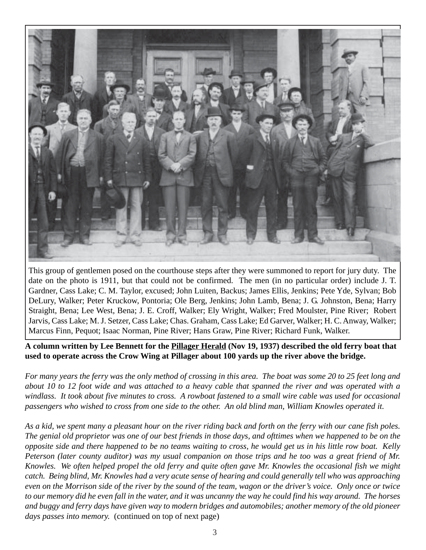

This group of gentlemen posed on the courthouse steps after they were summoned to report for jury duty. The date on the photo is 1911, but that could not be confirmed. The men (in no particular order) include J. T. Gardner, Cass Lake; C. M. Taylor, excused; John Luiten, Backus; James Ellis, Jenkins; Pete Yde, Sylvan; Bob DeLury, Walker; Peter Kruckow, Pontoria; Ole Berg, Jenkins; John Lamb, Bena; J. G. Johnston, Bena; Harry Straight, Bena; Lee West, Bena; J. E. Croff, Walker; Ely Wright, Walker; Fred Moulster, Pine River; Robert Jarvis, Cass Lake; M. J. Setzer, Cass Lake; Chas. Graham, Cass Lake; Ed Garver, Walker; H. C. Anway, Walker; Marcus Finn, Pequot; Isaac Norman, Pine River; Hans Graw, Pine River; Richard Funk, Walker.

**A column written by Lee Bennett for the Pillager Herald (Nov 19, 1937) described the old ferry boat that used to operate across the Crow Wing at Pillager about 100 yards up the river above the bridge.**

*For many years the ferry was the only method of crossing in this area. The boat was some 20 to 25 feet long and about 10 to 12 foot wide and was attached to a heavy cable that spanned the river and was operated with a windlass. It took about five minutes to cross. A rowboat fastened to a small wire cable was used for occasional passengers who wished to cross from one side to the other. An old blind man, William Knowles operated it.*

*As a kid, we spent many a pleasant hour on the river riding back and forth on the ferry with our cane fish poles. The genial old proprietor was one of our best friends in those days, and ofttimes when we happened to be on the opposite side and there happened to be no teams waiting to cross, he would get us in his little row boat. Kelly Peterson (later county auditor) was my usual companion on those trips and he too was a great friend of Mr. Knowles. We often helped propel the old ferry and quite often gave Mr. Knowles the occasional fish we might catch. Being blind, Mr. Knowles had a very acute sense of hearing and could generally tell who was approaching even on the Morrison side of the river by the sound of the team, wagon or the driver's voice. Only once or twice to our memory did he even fall in the water, and it was uncanny the way he could find his way around. The horses and buggy and ferry days have given way to modern bridges and automobiles; another memory of the old pioneer days passes into memory.* (continued on top of next page)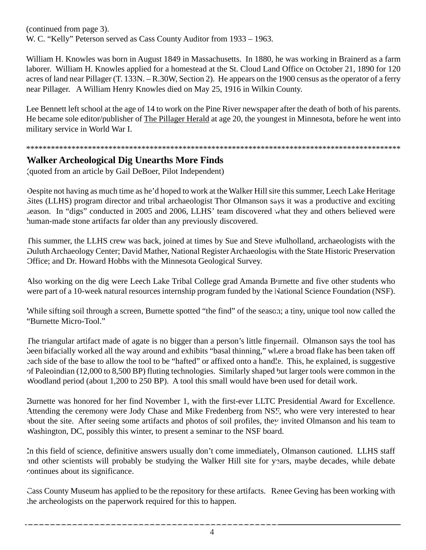(continued from page 3). W. C. "Kelly" Peterson served as Cass County Auditor from 1933 – 1963.

William H. Knowles was born in August 1849 in Massachusetts. In 1880, he was working in Brainerd as a farm laborer. William H. Knowles applied for a homestead at the St. Cloud Land Office on October 21, 1890 for 120 acres of land near Pillager (T. 133N. – R.30W, Section 2). He appears on the 1900 census as the operator of a ferry near Pillager. A William Henry Knowles died on May 25, 1916 in Wilkin County.

Lee Bennett left school at the age of 14 to work on the Pine River newspaper after the death of both of his parents. He became sole editor/publisher of The Pillager Herald at age 20, the youngest in Minnesota, before he went into military service in World War I.

### \*\*\*\*\*\*\*\*\*\*\*\*\*\*\*\*\*\*\*\*\*\*\*\*\*\*\*\*\*\*\*\*\*\*\*\*\*\*\*\*\*\*\*\*\*\*\*\*\*\*\*\*\*\*\*\*\*\*\*\*\*\*\*\*\*\*\*\*\*\*\*\*\*\*\*\*\*\*\*\*\*\*\*\*\*\*\*\*\*\*\*

### **Walker Archeological Dig Unearths More Finds**

(quoted from an article by Gail DeBoer, Pilot Independent)

Despite not having as much time as he'd hoped to work at the Walker Hill site this summer, Leech Lake Heritage Sites (LLHS) program director and tribal archaeologist Thor Olmanson says it was a productive and exciting season. In "digs" conducted in 2005 and 2006, LLHS' team discovered what they and others believed were human-made stone artifacts far older than any previously discovered.

This summer, the LLHS crew was back, joined at times by Sue and Steve Mulholland, archaeologists with the Duluth Archaeology Center; David Mather, National Register Archaeologist with the State Historic Preservation Office; and Dr. Howard Hobbs with the Minnesota Geological Survey.

Also working on the dig were Leech Lake Tribal College grad Amanda Burnette and five other students who were part of a 10-week natural resources internship program funded by the National Science Foundation (NSF).

While sifting soil through a screen, Burnette spotted "the find" of the season; a tiny, unique tool now called the "Burnette Micro-Tool."

The triangular artifact made of agate is no bigger than a person's little fingernail. Olmanson says the tool has been bifacially worked all the way around and exhibits "basal thinning," where a broad flake has been taken off each side of the base to allow the tool to be "hafted" or affixed onto a handle. This, he explained, is suggestive of Paleoindian (12,000 to 8,500 BP) fluting technologies. Similarly shaped but larger tools were common in the Woodland period (about 1,200 to 250 BP). A tool this small would have been used for detail work.

Burnette was honored for her find November 1, with the first-ever LLTC Presidential Award for Excellence. Attending the ceremony were Jody Chase and Mike Fredenberg from NSF, who were very interested to hear about the site. After seeing some artifacts and photos of soil profiles, they invited Olmanson and his team to Washington, DC, possibly this winter, to present a seminar to the NSF board.

In this field of science, definitive answers usually don't come immediately, Olmanson cautioned. LLHS staff and other scientists will probably be studying the Walker Hill site for years, maybe decades, while debate continues about its significance.

Cass County Museum has applied to be the repository for these artifacts. Renee Geving has been working with the archeologists on the paperwork required for this to happen.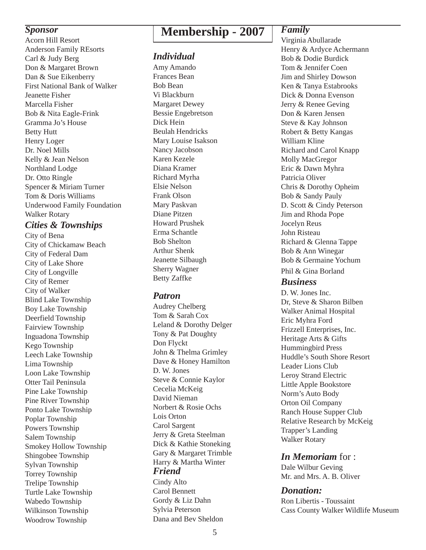Anderson Family REsorts Carl & Judy Berg Don & Margaret Brown Dan & Sue Eikenberry First National Bank of Walker Jeanette Fisher Marcella Fisher Bob & Nita Eagle-Frink Gramma Jo's House Betty Hutt Henry Loger Dr. Noel Mills Kelly & Jean Nelson Northland Lodge Dr. Otto Ringle Spencer & Miriam Turner Tom & Doris Williams Underwood Family Foundation Walker Rotary

### *Cities & Townships*

City of Bena City of Chickamaw Beach City of Federal Dam City of Lake Shore City of Longville City of Remer City of Walker Blind Lake Township Boy Lake Township Deerfield Township Fairview Township Inguadona Township Kego Township Leech Lake Township Lima Township Loon Lake Township Otter Tail Peninsula Pine Lake Township Pine River Township Ponto Lake Township Poplar Township Powers Township Salem Township Smokey Hollow Township Shingobee Township Sylvan Township Torrey Township Trelipe Township Turtle Lake Township Wabedo Township Wilkinson Township Woodrow Township

## **Membership - 2007**<br>Acorn Hill Resort

### *Individual*

Amy Amando Frances Bean Bob Bean Vi Blackburn Margaret Dewey Bessie Engebretson Dick Hein Beulah Hendricks Mary Louise Isakson Nancy Jacobson Karen Kezele Diana Kramer Richard Myrha Elsie Nelson Frank Olson Mary Paskvan Diane Pitzen Howard Prushek Erma Schantle Bob Shelton Arthur Shenk Jeanette Silbaugh Sherry Wagner Betty Zaffke

### *Patron*

Audrey Chelberg Tom & Sarah Cox Leland & Dorothy Delger Tony & Pat Doughty Don Flyckt John & Thelma Grimley Dave & Honey Hamilton D. W. Jones Steve & Connie Kaylor Cecelia McKeig David Nieman Norbert & Rosie Ochs Lois Orton Carol Sargent Jerry & Greta Steelman Dick & Kathie Stoneking Gary & Margaret Trimble Harry & Martha Winter *Friend* Cindy Alto Carol Bennett Gordy & Liz Dahn Sylvia Peterson Dana and Bev Sheldon

### *Family*

Virginia Abullarade Henry & Ardyce Achermann Bob & Dodie Burdick Tom & Jennifer Coen Jim and Shirley Dowson Ken & Tanya Estabrooks Dick & Donna Evenson Jerry & Renee Geving Don & Karen Jensen Steve & Kay Johnson Robert & Betty Kangas William Kline Richard and Carol Knapp Molly MacGregor Eric & Dawn Myhra Patricia Oliver Chris & Dorothy Opheim Bob & Sandy Pauly D. Scott & Cindy Peterson Jim and Rhoda Pope Jocelyn Reus John Risteau Richard & Glenna Tappe Bob & Ann Winegar Bob & Germaine Yochum Phil & Gina Borland

### *Business*

D. W. Jones Inc. Dr, Steve & Sharon Bilben Walker Animal Hospital Eric Myhra Ford Frizzell Enterprises, Inc. Heritage Arts & Gifts Hummingbird Press Huddle's South Shore Resort Leader Lions Club Leroy Strand Electric Little Apple Bookstore Norm's Auto Body Orton Oil Company Ranch House Supper Club Relative Research by McKeig Trapper's Landing Walker Rotary

### *In Memoriam* for :

Dale Wilbur Geving Mr. and Mrs. A. B. Oliver

### *Donation:*

Ron Libertis - Toussaint Cass County Walker Wildlife Museum